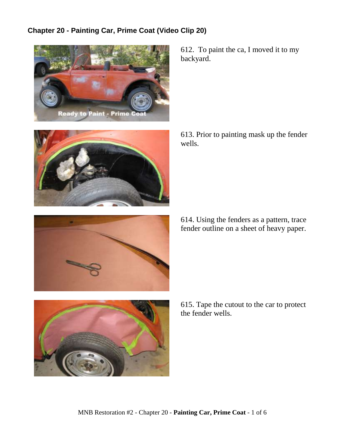## **Chapter 20 - Painting Car, Prime Coat (Video Clip 20)**







612. To paint the ca, I moved it to my backyard.

613. Prior to painting mask up the fender wells.

614. Using the fenders as a pattern, trace fender outline on a sheet of heavy paper.



615. Tape the cutout to the car to protect the fender wells.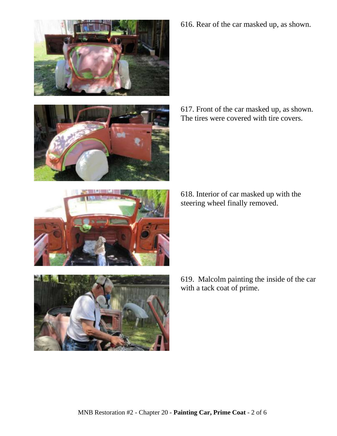





617. Front of the car masked up, as shown. The tires were covered with tire covers.

618. Interior of car masked up with the steering wheel finally removed.



619. Malcolm painting the inside of the car with a tack coat of prime.

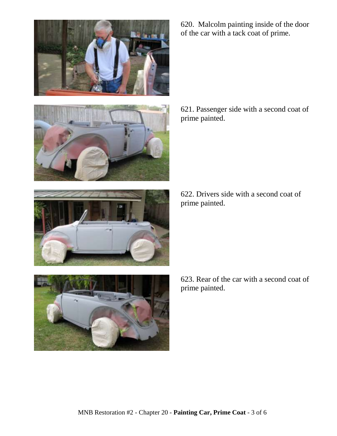



620. Malcolm painting inside of the door of the car with a tack coat of prime.

621. Passenger side with a second coat of prime painted.

622. Drivers side with a second coat of prime painted.



623. Rear of the car with a second coat of prime painted.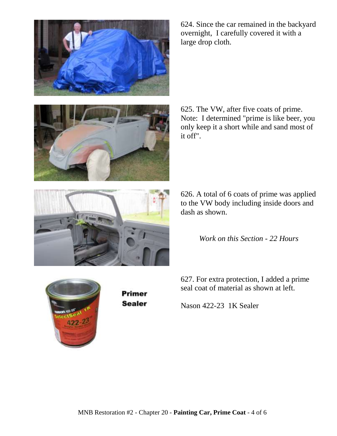

624. Since the car remained in the backyard overnight, I carefully covered it with a large drop cloth.

625. The VW, after five coats of prime. Note: I determined "prime is like beer, you only keep it a short while and sand most of it off".



626. A total of 6 coats of prime was applied to the VW body including inside doors and dash as shown.

*Work on this Section - 22 Hours*

627. For extra protection, I added a prime seal coat of material as shown at left.



Primer **Sealer** 

Nason 422-23 1K Sealer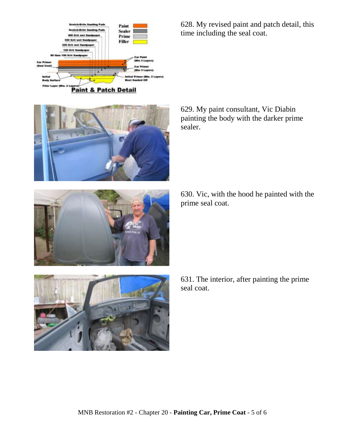



628. My revised paint and patch detail, this time including the seal coat.

629. My paint consultant, Vic Diabin painting the body with the darker prime sealer.

630. Vic, with the hood he painted with the prime seal coat.



631. The interior, after painting the prime seal coat.